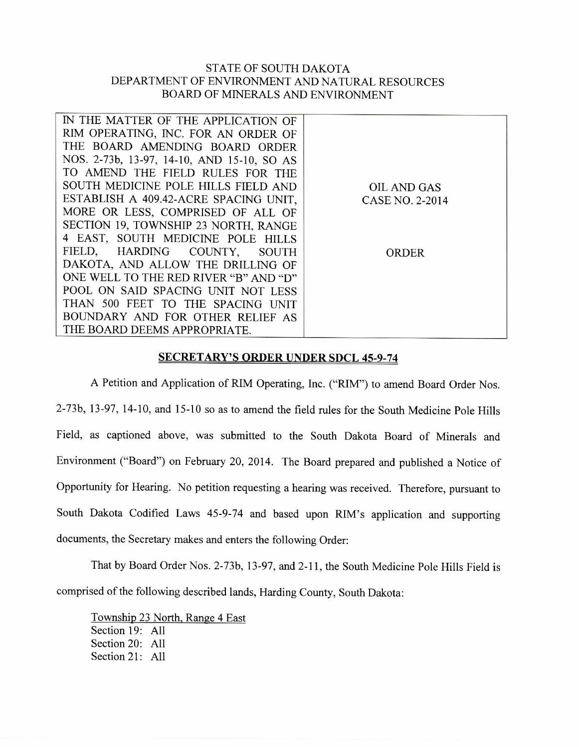## STATE OF SOUTH DAKOTA DEPARTMENT OF ENVIRONMENT AND NATURAL RESOURCES BOARD OF MINERALS AND ENVIRONMENT

| IN THE MATTER OF THE APPLICATION OF        |                    |
|--------------------------------------------|--------------------|
| RIM OPERATING, INC. FOR AN ORDER OF        |                    |
| THE BOARD AMENDING BOARD ORDER             |                    |
| NOS. 2-73b, 13-97, 14-10, AND 15-10, SO AS |                    |
| TO AMEND THE FIELD RULES FOR THE           |                    |
| SOUTH MEDICINE POLE HILLS FIELD AND        | <b>OIL AND GAS</b> |
| ESTABLISH A 409.42-ACRE SPACING UNIT,      | CASE NO. 2-2014    |
| MORE OR LESS, COMPRISED OF ALL OF          |                    |
| SECTION 19, TOWNSHIP 23 NORTH, RANGE       |                    |
| 4 EAST, SOUTH MEDICINE POLE HILLS          |                    |
| FIELD, HARDING COUNTY, SOUTH               | <b>ORDER</b>       |
| DAKOTA, AND ALLOW THE DRILLING OF          |                    |
| ONE WELL TO THE RED RIVER "B" AND "D"      |                    |
| POOL ON SAID SPACING UNIT NOT LESS         |                    |
| THAN 500 FEET TO THE SPACING UNIT          |                    |
| BOUNDARY AND FOR OTHER RELIEF AS           |                    |
| THE BOARD DEEMS APPROPRIATE.               |                    |

## SECRETARY'S ORDER UNDER SDCL 45-9-74

A Petition and Application of RIM Operating, Inc. ("RIM") to amend Board Order Nos. 2-73b, 13-97, 14-10, and 15-10 so as to amend the field rules for the South Medicine Pole Hills Field, as captioned above, was submitted to the South Dakota Board of Minerals and Environment ("Board") on February 20, 2014. The Board prepared and published a Notice of Opportunity for Hearing. No petition requesting a hearing was received. Therefore, pursuant to South Dakota Codified Laws 45-9-74 and based upon RIM's application and supporting documents, the Secretary makes and enters the following Order:

That by Board Order Nos. 2-73b, 13-97, and 2-11, the South Medicine Pole Hills Field is comprised of the following described lands, Harding County, South Dakota:

Township 23 North, Range 4 East Section 19: All Section 20: All Section 21: All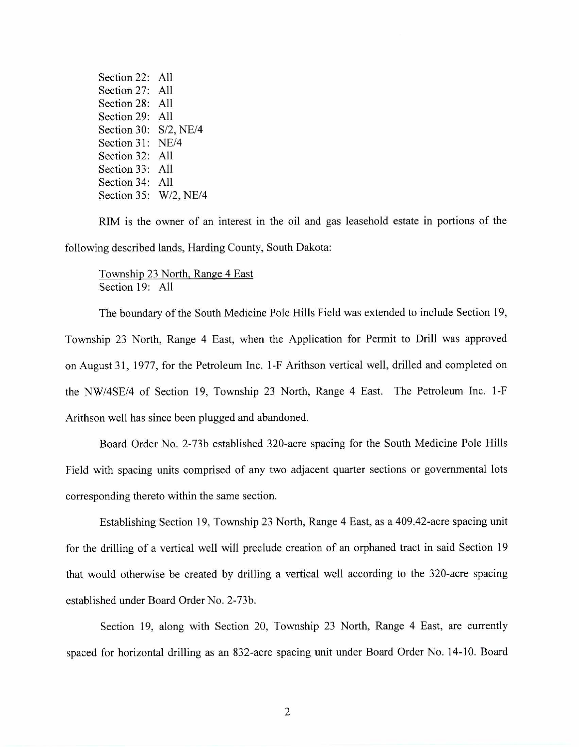Section 22: All Section 27: All Section 28: All Section 29: All Section 30: S/2, NE/4 Section 31: NE/4 Section 32: All Section 33: All Section 34: All Section 35: W/2, NE/4

RIM is the owner of an interest in the oil and gas leasehold estate in portions of the following described lands, Harding County, South Dakota:

Township 23 North, Range 4 East Section 19: All

The boundary of the South Medicine Pole Hills Field was extended to include Section 19, Township 23 North, Range 4 East, when the Application for Permit to Drill was approved on August 31, 1977, for the Petroleum Inc. 1-F Arithson vertical well, drilled and completed on the NW/4SE/4 of Section 19, Township 23 North, Range 4 East. The Petroleum Inc. 1-F Arithson well has since been plugged and abandoned.

Board Order No. 2-73b established 320-acre spacing for the South Medicine Pole Hills Field with spacing units comprised of any two adjacent quarter sections or governmental lots corresponding thereto within the same section.

Establishing Section 19, Township 23 North, Range 4 East, as a 409.42-acre spacing unit for the drilling of a vertical well will preclude creation of an orphaned tract in said Section 19 that would otherwise be created by drilling a vertical well according to the 320-acre spacing established under Board Order No. 2-73b.

Section 19, along with Section 20, Township 23 North, Range 4 East, are currently spaced for horizontal drilling as an 832-acre spacing unit under Board Order No. 14-10. Board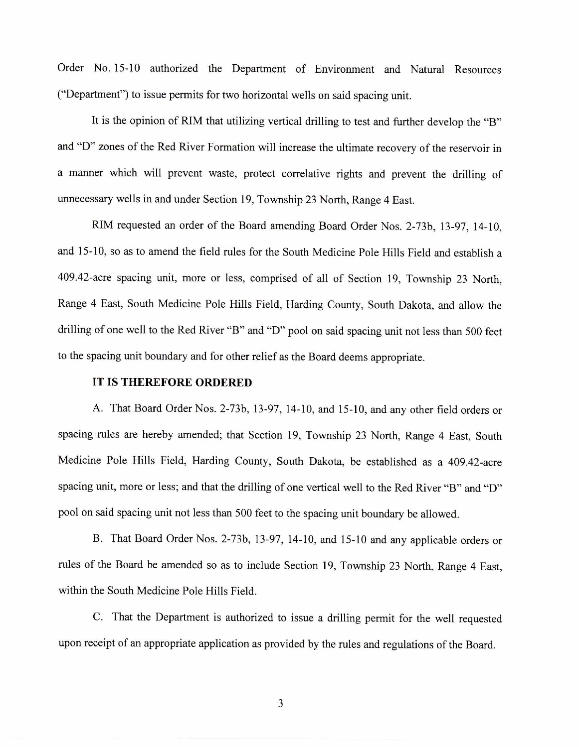Order No. 15-10 authorized the Department of Environment and Natural Resources ("Department") to issue permits for two horizontal wells on said spacing unit.

It is the opinion of RIM that utilizing vertical drilling to test and further develop the "B" and "D" zones of the Red River Formation will increase the ultimate recovery of the reservoir in a manner which will prevent waste, protect correlative rights and prevent the drilling of unnecessary wells in and under Section 19, Township 23 North, Range 4 East.

RIM requested an order of the Board amending Board Order Nos. 2-73b, 13-97, 14-10, and 15-10, so as to amend the field rules for the South Medicine Pole Hills Field and establish a 409.42-acre spacing unit, more or less, comprised of all of Section 19, Township 23 North, Range 4 East, South Medicine Pole Hills Field, Harding County, South Dakota, and allow the drilling of one well to the Red River "B" and "D" pool on said spacing unit not less than 500 feet to the spacing unit boundary and for other relief as the Board deems appropriate.

## **IT IS THEREFORE ORDERED**

A. That Board Order Nos. 2-73b, 13-97, 14-10, and 15-10, and any other field orders or spacing rules are hereby amended; that Section 19, Township 23 North, Range 4 East, South Medicine Pole Hills Field, Harding County, South Dakota, be established as a 409.42-acre spacing unit, more or less; and that the drilling of one vertical well to the Red River "B" and "D" pool on said spacing unit not less than 500 feet to the spacing unit boundary be allowed.

B. That Board Order Nos. 2-73b, 13-97, 14-10, and 15-10 and any applicable orders or rules of the Board be amended so as to include Section 19, Township 23 North, Range 4 East, within the South Medicine Pole Hills Field.

C. That the Department is authorized to issue a drilling permit for the well requested upon receipt of an appropriate application as provided by the rules and regulations of the Board.

3